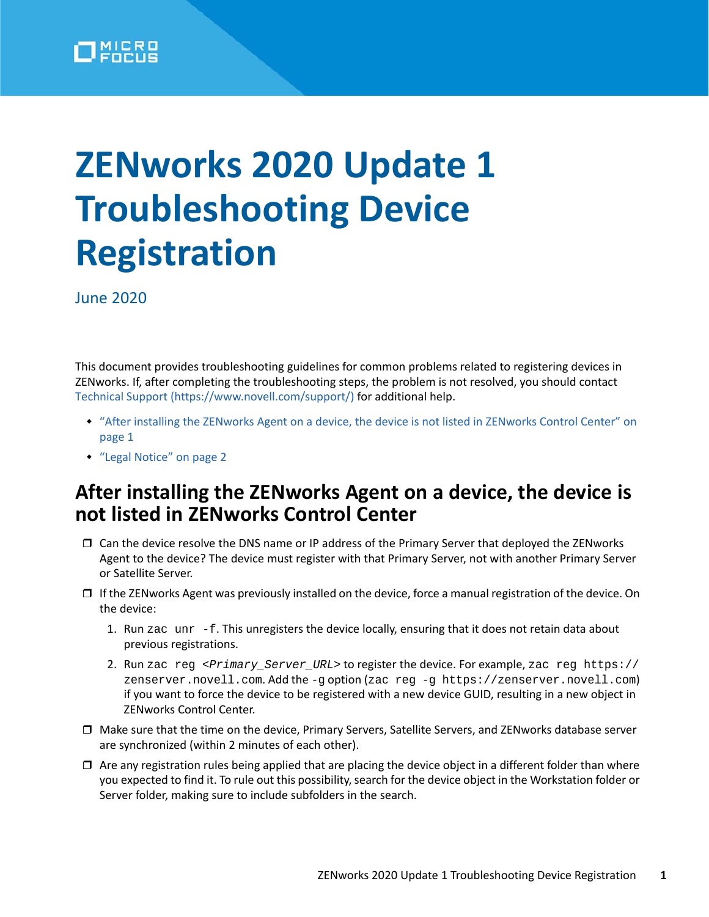

## **ZENworks 2020 Update 1 Troubleshooting Device Registration**

June 2020

This document provides troubleshooting guidelines for common problems related to registering devices in ZENworks. If, after completing the troubleshooting steps, the problem is not resolved, you should contact [Technical Support](https://www.novell.com/support/) (https://www.novell.com/support/) for additional help.

- ["After installing the ZENworks Agent on a device, the device is not listed in ZENworks Control Center" on](#page-0-0)  [page 1](#page-0-0)
- ["Legal Notice" on page 2](#page-1-0)

## <span id="page-0-0"></span>**After installing the ZENworks Agent on a device, the device is not listed in ZENworks Control Center**

- $\Box$  Can the device resolve the DNS name or IP address of the Primary Server that deployed the ZENworks Agent to the device? The device must register with that Primary Server, not with another Primary Server or Satellite Server.
- $\Box$  If the ZENworks Agent was previously installed on the device, force a manual registration of the device. On the device:
	- 1. Run zac unr  $-f$ . This unregisters the device locally, ensuring that it does not retain data about previous registrations.
	- 2. Run zac reg <*Primary\_Server\_URL*> to register the device. For example, zac reg https:// zenserver.novell.com. Add the -g option (zac reg -g https://zenserver.novell.com) if you want to force the device to be registered with a new device GUID, resulting in a new object in ZENworks Control Center.
- Make sure that the time on the device, Primary Servers, Satellite Servers, and ZENworks database server are synchronized (within 2 minutes of each other).
- $\Box$  Are any registration rules being applied that are placing the device object in a different folder than where you expected to find it. To rule out this possibility, search for the device object in the Workstation folder or Server folder, making sure to include subfolders in the search.